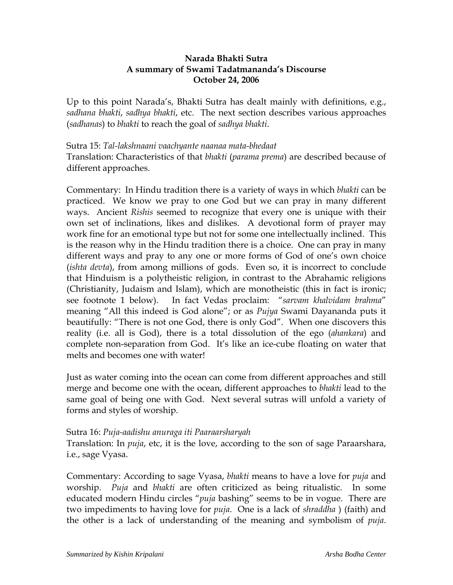#### **Narada Bhakti Sutra A summary of Swami Tadatmananda's Discourse October 24, 2006**

Up to this point Narada's, Bhakti Sutra has dealt mainly with definitions, e.g., *sadhana bhakti*, *sadhya bhakti*, etc. The next section describes various approaches (*sadhanas*) to *bhakti* to reach the goal of *sadhya bhakti*.

Sutra 15: *Tal-lakshnaani vaachyante naanaa mata-bhedaat* Translation: Characteristics of that *bhakti* (*parama prema*) are described because of different approaches.

Commentary: In Hindu tradition there is a variety of ways in which *bhakti* can be practiced. We know we pray to one God but we can pray in many different ways. Ancient *Rishis* seemed to recognize that every one is unique with their own set of inclinations, likes and dislikes. A devotional form of prayer may work fine for an emotional type but not for some one intellectually inclined. This is the reason why in the Hindu tradition there is a choice. One can pray in many different ways and pray to any one or more forms of God of one's own choice (*ishta devta*), from among millions of gods. Even so, it is incorrect to conclude that Hinduism is a polytheistic religion, in contrast to the Abrahamic religions (Christianity, Judaism and Islam), which are monotheistic (this in fact is ironic; see footnote 1 below). In fact Vedas proclaim: "*sarvam khalvidam brahma*" meaning "All this indeed is God alone"; or as *Pujya* Swami Dayananda puts it beautifully: "There is not one God, there is only God". When one discovers this reality (i.e. all is God), there is a total dissolution of the ego (*ahankara*) and complete non-separation from God. It's like an ice-cube floating on water that melts and becomes one with water!

Just as water coming into the ocean can come from different approaches and still merge and become one with the ocean, different approaches to *bhakti* lead to the same goal of being one with God. Next several sutras will unfold a variety of forms and styles of worship.

#### Sutra 16: *Puja-aadishu anuraga iti Paaraarsharyah*

Translation: In *puja*, etc, it is the love, according to the son of sage Paraarshara, i.e., sage Vyasa.

Commentary: According to sage Vyasa, *bhakti* means to have a love for *puja* and worship. *Puja* and *bhakti* are often criticized as being ritualistic. In some educated modern Hindu circles "*puja* bashing" seems to be in vogue. There are two impediments to having love for *puja*. One is a lack of *shraddha* ) (faith) and the other is a lack of understanding of the meaning and symbolism of *puja*.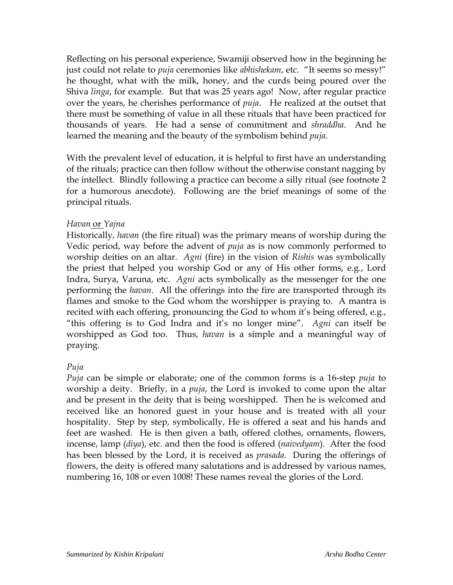Reflecting on his personal experience, Swamiji observed how in the beginning he just could not relate to *puja* ceremonies like *abhishekam*, etc. "It seems so messy!" he thought, what with the milk, honey, and the curds being poured over the Shiva *linga*, for example. But that was 25 years ago! Now, after regular practice over the years, he cherishes performance of *puja*. He realized at the outset that there must be something of value in all these rituals that have been practiced for thousands of years. He had a sense of commitment and *shraddha*. And he learned the meaning and the beauty of the symbolism behind *puja*.

With the prevalent level of education, it is helpful to first have an understanding of the rituals; practice can then follow without the otherwise constant nagging by the intellect. Blindly following a practice can become a silly ritual (see footnote 2 for a humorous anecdote). Following are the brief meanings of some of the principal rituals.

#### *Havan* or *Yajna*

Historically, *havan* (the fire ritual) was the primary means of worship during the Vedic period, way before the advent of *puja* as is now commonly performed to worship deities on an altar. *Agni* (fire) in the vision of *Rishis* was symbolically the priest that helped you worship God or any of His other forms, e.g., Lord Indra, Surya, Varuna, etc. *Agni* acts symbolically as the messenger for the one performing the *havan*. All the offerings into the fire are transported through its flames and smoke to the God whom the worshipper is praying to. A mantra is recited with each offering, pronouncing the God to whom it's being offered, e.g., "this offering is to God Indra and it's no longer mine". *Agni* can itself be worshipped as God too. Thus, *havan* is a simple and a meaningful way of praying.

# *Puja*

*Puja* can be simple or elaborate; one of the common forms is a 16-step *puja* to worship a deity. Briefly, in a *puja*, the Lord is invoked to come upon the altar and be present in the deity that is being worshipped. Then he is welcomed and received like an honored guest in your house and is treated with all your hospitality. Step by step, symbolically, He is offered a seat and his hands and feet are washed. He is then given a bath, offered clothes, ornaments, flowers, incense, lamp (*diya*), etc. and then the food is offered (*naivedyam*). After the food has been blessed by the Lord, it is received as *prasada*. During the offerings of flowers, the deity is offered many salutations and is addressed by various names, numbering 16, 108 or even 1008! These names reveal the glories of the Lord.